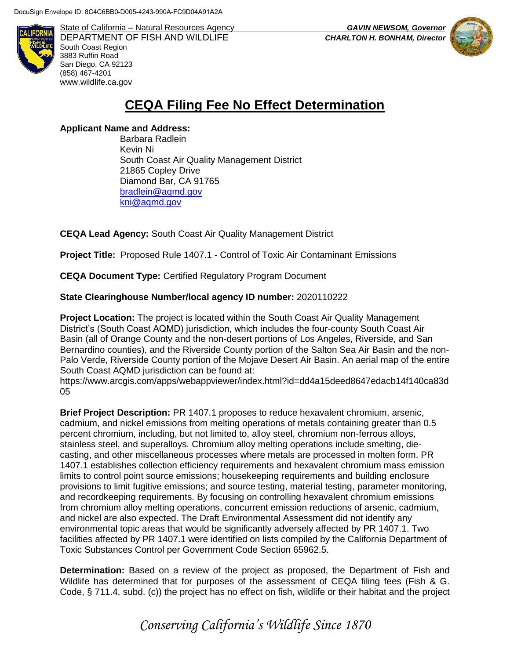

State of California – Natural Resources Agency *GAVIN NEWSOM, Governor* DEPARTMENT OF FISH AND WILDLIFE *CHARLTON H. BONHAM, Director*  South Coast Region 3883 Ruffin Road San Diego, CA 92123 (858) 467-4201 [www.wildlife.ca.gov](http://www.wildlife.ca.gov/)



## **CEQA Filing Fee No Effect Determination**

## **Applicant Name and Address:**

Barbara Radlein Kevin Ni South Coast Air Quality Management District 21865 Copley Drive Diamond Bar, CA 91765 [bradlein@aqmd.gov](mailto:bradlein@aqmd.gov) [kni@aqmd.gov](mailto:kni@aqmd.gov)

**CEQA Lead Agency:** South Coast Air Quality Management District

**Project Title:** Proposed Rule 1407.1 - Control of Toxic Air Contaminant Emissions

**CEQA Document Type:** Certified Regulatory Program Document

## **State Clearinghouse Number/local agency ID number:** 2020110222

**Project Location:** The project is located within the South Coast Air Quality Management District's (South Coast AQMD) jurisdiction, which includes the four-county South Coast Air Basin (all of Orange County and the non-desert portions of Los Angeles, Riverside, and San Bernardino counties), and the Riverside County portion of the Salton Sea Air Basin and the non-Palo Verde, Riverside County portion of the Mojave Desert Air Basin. An aerial map of the entire South Coast AQMD jurisdiction can be found at:

https://www.arcgis.com/apps/webappviewer/index.html?id=dd4a15deed8647edacb14f140ca83d 05

**Brief Project Description:** PR 1407.1 proposes to reduce hexavalent chromium, arsenic, cadmium, and nickel emissions from melting operations of metals containing greater than 0.5 percent chromium, including, but not limited to, alloy steel, chromium non-ferrous alloys, stainless steel, and superalloys. Chromium alloy melting operations include smelting, diecasting, and other miscellaneous processes where metals are processed in molten form. PR 1407.1 establishes collection efficiency requirements and hexavalent chromium mass emission limits to control point source emissions; housekeeping requirements and building enclosure provisions to limit fugitive emissions; and source testing, material testing, parameter monitoring, and recordkeeping requirements. By focusing on controlling hexavalent chromium emissions from chromium alloy melting operations, concurrent emission reductions of arsenic, cadmium, and nickel are also expected. The Draft Environmental Assessment did not identify any environmental topic areas that would be significantly adversely affected by PR 1407.1. Two facilities affected by PR 1407.1 were identified on lists compiled by the California Department of Toxic Substances Control per Government Code Section 65962.5.

**Determination:** Based on a review of the project as proposed, the Department of Fish and Wildlife has determined that for purposes of the assessment of CEQA filing fees (Fish & G. Code, § 711.4, subd. (c)) the project has no effect on fish, wildlife or their habitat and the project

*Conserving California's Wildlife Since 1870*